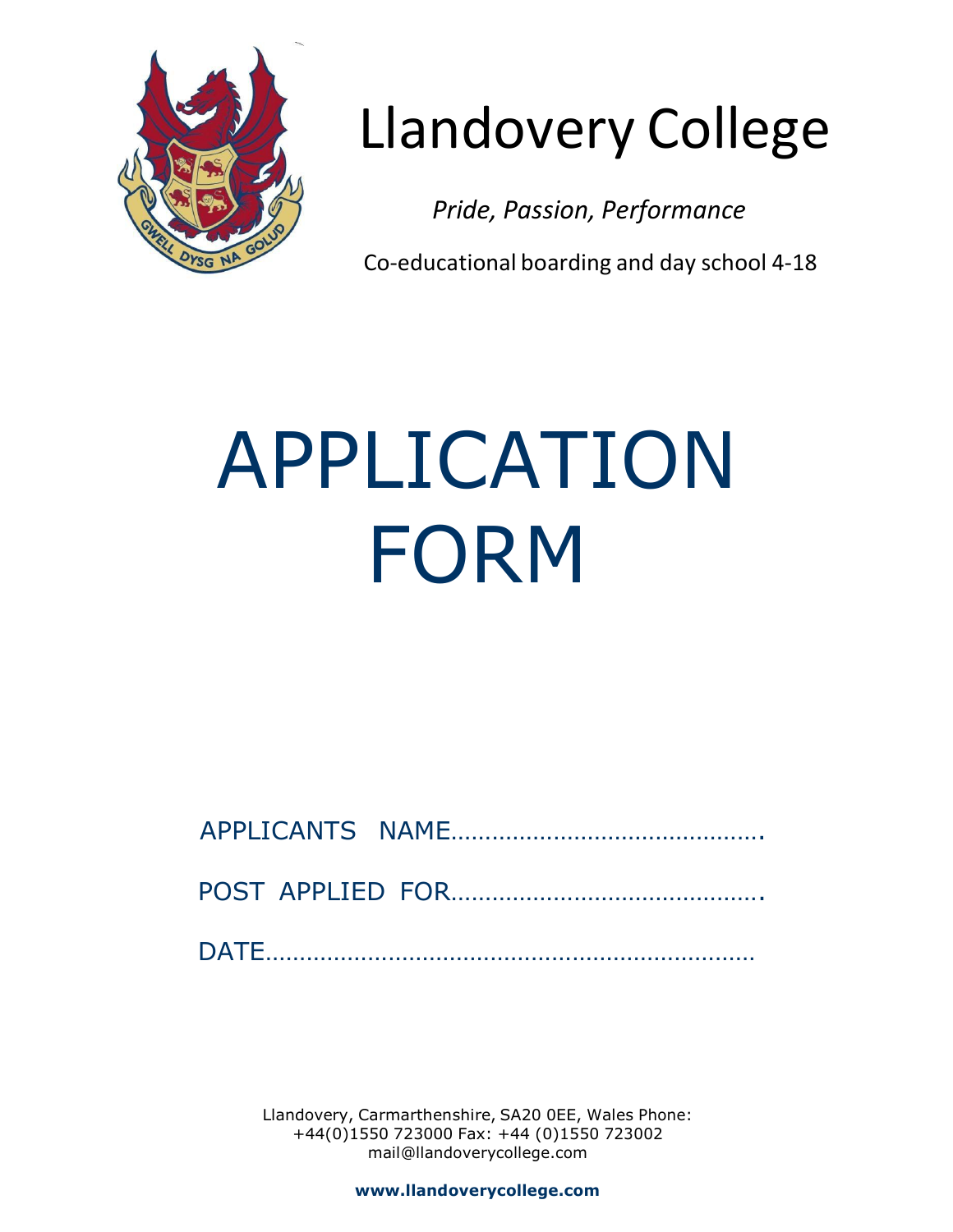

# Llandovery College

*Pride, Passion, Performance*

Co-educational boarding and day school 4-18

# APPLICATION FORM

POST APPLIED FOR……………………………………….

DATE………………………………………………………………

Llandovery, Carmarthenshire, SA20 0EE, Wales Phone: +44(0)1550 723000 Fax: +44 (0)1550 723002 [mail@llandoverycollege.com](mailto:mail@llandoverycollege.com)

**[www.llandoverycollege.com](http://www.llandoverycollege.com/)**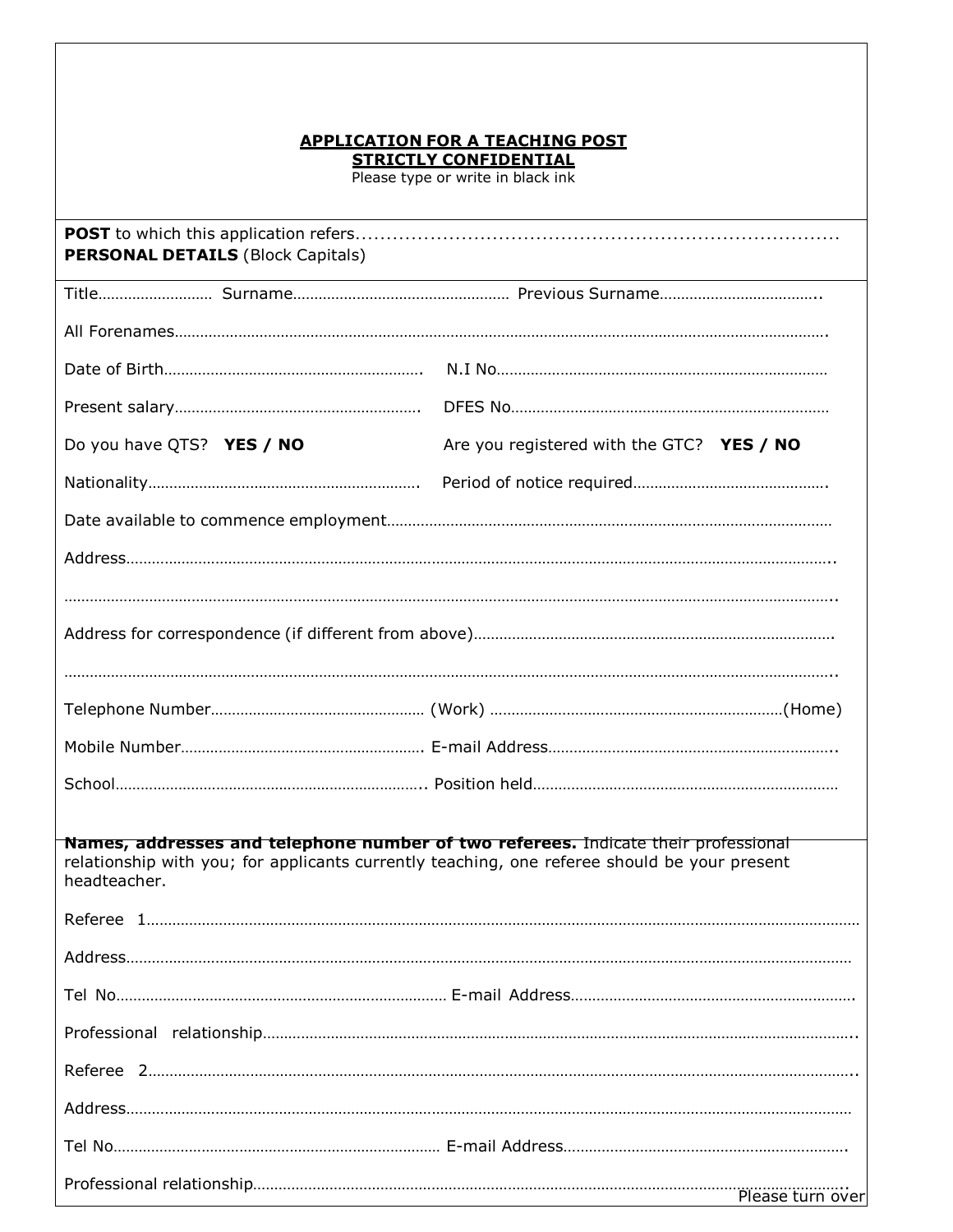# **APPLICATION FOR A TEACHING POST STRICTLY CONFIDENTIAL**

Please type or write in black ink

| <b>PERSONAL DETAILS (Block Capitals)</b> |                                                                                                                                                                                    |
|------------------------------------------|------------------------------------------------------------------------------------------------------------------------------------------------------------------------------------|
|                                          |                                                                                                                                                                                    |
|                                          |                                                                                                                                                                                    |
|                                          |                                                                                                                                                                                    |
|                                          |                                                                                                                                                                                    |
| Do you have QTS? YES / NO                | Are you registered with the GTC? YES / NO                                                                                                                                          |
|                                          |                                                                                                                                                                                    |
|                                          |                                                                                                                                                                                    |
|                                          |                                                                                                                                                                                    |
|                                          |                                                                                                                                                                                    |
|                                          |                                                                                                                                                                                    |
|                                          |                                                                                                                                                                                    |
|                                          |                                                                                                                                                                                    |
|                                          |                                                                                                                                                                                    |
|                                          |                                                                                                                                                                                    |
|                                          |                                                                                                                                                                                    |
|                                          | Names, addresses and telephone number of two referees. Indicate their professional<br>relationship with you; for applicants currently teaching, one referee should be your present |
| headteacher.                             |                                                                                                                                                                                    |
|                                          |                                                                                                                                                                                    |
|                                          |                                                                                                                                                                                    |
|                                          |                                                                                                                                                                                    |
|                                          |                                                                                                                                                                                    |
|                                          |                                                                                                                                                                                    |
|                                          |                                                                                                                                                                                    |
|                                          |                                                                                                                                                                                    |
|                                          | Please turn over                                                                                                                                                                   |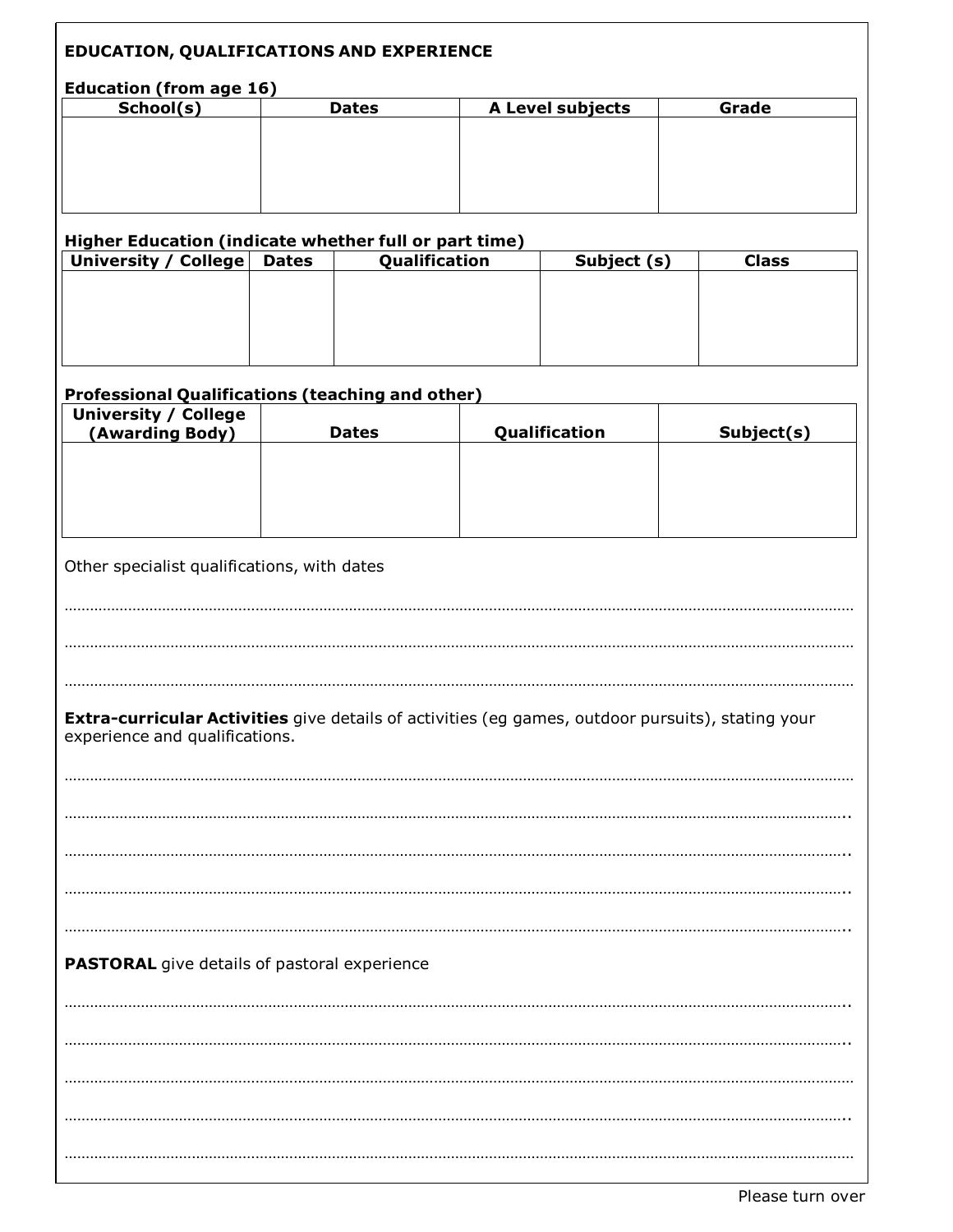| <b>EDUCATION, QUALIFICATIONS AND EXPERIENCE</b>                                                                                                                                            |                                             |               |                  |              |
|--------------------------------------------------------------------------------------------------------------------------------------------------------------------------------------------|---------------------------------------------|---------------|------------------|--------------|
| <b>Education (from age 16)</b>                                                                                                                                                             |                                             |               |                  |              |
| School(s)                                                                                                                                                                                  |                                             | <b>Dates</b>  | A Level subjects | Grade        |
|                                                                                                                                                                                            |                                             |               |                  |              |
|                                                                                                                                                                                            |                                             |               |                  |              |
|                                                                                                                                                                                            |                                             |               |                  |              |
|                                                                                                                                                                                            |                                             |               |                  |              |
|                                                                                                                                                                                            |                                             |               |                  |              |
|                                                                                                                                                                                            |                                             |               |                  |              |
| Higher Education (indicate whether full or part time)                                                                                                                                      |                                             |               |                  |              |
| University / College                                                                                                                                                                       | <b>Dates</b>                                | Qualification | Subject (s)      | <b>Class</b> |
|                                                                                                                                                                                            |                                             |               |                  |              |
|                                                                                                                                                                                            |                                             |               |                  |              |
|                                                                                                                                                                                            |                                             |               |                  |              |
|                                                                                                                                                                                            |                                             |               |                  |              |
|                                                                                                                                                                                            |                                             |               |                  |              |
|                                                                                                                                                                                            |                                             |               |                  |              |
|                                                                                                                                                                                            |                                             |               |                  |              |
| <b>Professional Qualifications (teaching and other)</b>                                                                                                                                    |                                             |               |                  |              |
| <b>University / College</b>                                                                                                                                                                |                                             |               |                  |              |
| (Awarding Body)                                                                                                                                                                            |                                             | <b>Dates</b>  | Qualification    | Subject(s)   |
|                                                                                                                                                                                            |                                             |               |                  |              |
|                                                                                                                                                                                            |                                             |               |                  |              |
|                                                                                                                                                                                            |                                             |               |                  |              |
|                                                                                                                                                                                            |                                             |               |                  |              |
|                                                                                                                                                                                            |                                             |               |                  |              |
|                                                                                                                                                                                            |                                             |               |                  |              |
|                                                                                                                                                                                            | Other specialist qualifications, with dates |               |                  |              |
|                                                                                                                                                                                            |                                             |               |                  |              |
|                                                                                                                                                                                            |                                             |               |                  |              |
|                                                                                                                                                                                            |                                             |               |                  |              |
|                                                                                                                                                                                            |                                             |               |                  |              |
|                                                                                                                                                                                            |                                             |               |                  |              |
|                                                                                                                                                                                            |                                             |               |                  |              |
|                                                                                                                                                                                            |                                             |               |                  |              |
|                                                                                                                                                                                            |                                             |               |                  |              |
|                                                                                                                                                                                            |                                             |               |                  |              |
|                                                                                                                                                                                            |                                             |               |                  |              |
|                                                                                                                                                                                            |                                             |               |                  |              |
|                                                                                                                                                                                            |                                             |               |                  |              |
|                                                                                                                                                                                            |                                             |               |                  |              |
| Extra-curricular Activities give details of activities (eg games, outdoor pursuits), stating your<br>experience and qualifications.<br><b>PASTORAL</b> give details of pastoral experience |                                             |               |                  |              |
|                                                                                                                                                                                            |                                             |               |                  |              |
|                                                                                                                                                                                            |                                             |               |                  |              |
|                                                                                                                                                                                            |                                             |               |                  |              |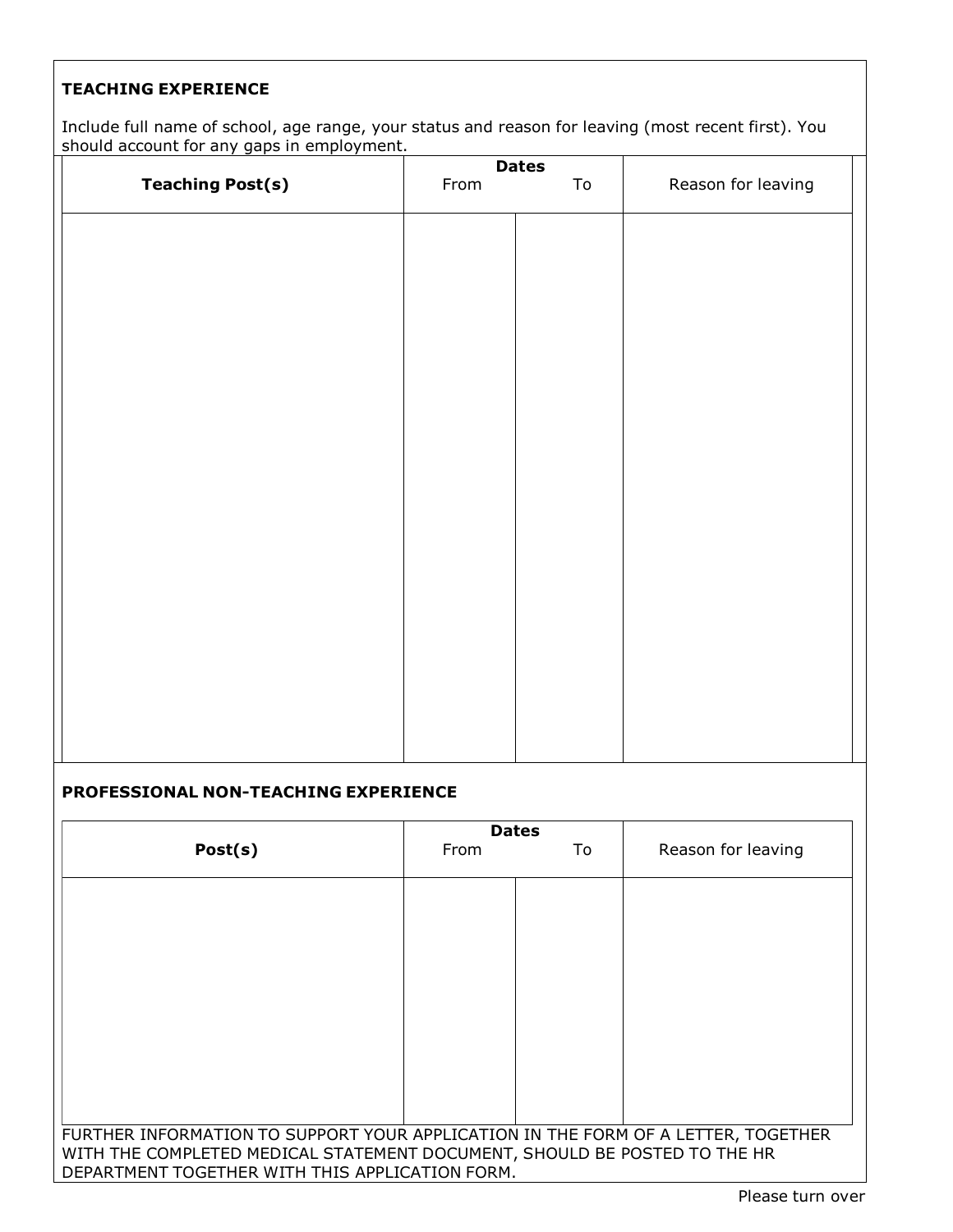# **TEACHING EXPERIENCE**

Include full name of school, age range, your status and reason for leaving (most recent first). You should account for any gaps in employment.

|                         | <b>Dates</b> |               |                    |  |  |  |
|-------------------------|--------------|---------------|--------------------|--|--|--|
| <b>Teaching Post(s)</b> | From         | $\mathsf{To}$ | Reason for leaving |  |  |  |
|                         |              |               |                    |  |  |  |
|                         |              |               |                    |  |  |  |
|                         |              |               |                    |  |  |  |
|                         |              |               |                    |  |  |  |
|                         |              |               |                    |  |  |  |
|                         |              |               |                    |  |  |  |
|                         |              |               |                    |  |  |  |
|                         |              |               |                    |  |  |  |
|                         |              |               |                    |  |  |  |
|                         |              |               |                    |  |  |  |
|                         |              |               |                    |  |  |  |
|                         |              |               |                    |  |  |  |
|                         |              |               |                    |  |  |  |
|                         |              |               |                    |  |  |  |

# **PROFESSIONAL NON-TEACHING EXPERIENCE**

|                                                                                   | <b>Dates</b>                                                              |    |                    |  |  |  |
|-----------------------------------------------------------------------------------|---------------------------------------------------------------------------|----|--------------------|--|--|--|
| Post(s)                                                                           | <b>From</b>                                                               | To | Reason for leaving |  |  |  |
|                                                                                   |                                                                           |    |                    |  |  |  |
|                                                                                   |                                                                           |    |                    |  |  |  |
|                                                                                   |                                                                           |    |                    |  |  |  |
|                                                                                   |                                                                           |    |                    |  |  |  |
|                                                                                   |                                                                           |    |                    |  |  |  |
|                                                                                   |                                                                           |    |                    |  |  |  |
|                                                                                   |                                                                           |    |                    |  |  |  |
|                                                                                   |                                                                           |    |                    |  |  |  |
|                                                                                   |                                                                           |    |                    |  |  |  |
|                                                                                   |                                                                           |    |                    |  |  |  |
|                                                                                   |                                                                           |    |                    |  |  |  |
|                                                                                   |                                                                           |    |                    |  |  |  |
|                                                                                   |                                                                           |    |                    |  |  |  |
|                                                                                   |                                                                           |    |                    |  |  |  |
|                                                                                   |                                                                           |    |                    |  |  |  |
|                                                                                   |                                                                           |    |                    |  |  |  |
| FURTHER INFORMATION TO SUPPORT YOUR APPLICATION IN THE FORM OF A LETTER, TOGETHER |                                                                           |    |                    |  |  |  |
|                                                                                   | WITH THE COMPLETED MEDICAL STATEMENT DOCUMENT, SHOULD BE POSTED TO THE HR |    |                    |  |  |  |
| DEPARTMENT TOGETHER WITH THIS APPLICATION FORM.                                   |                                                                           |    |                    |  |  |  |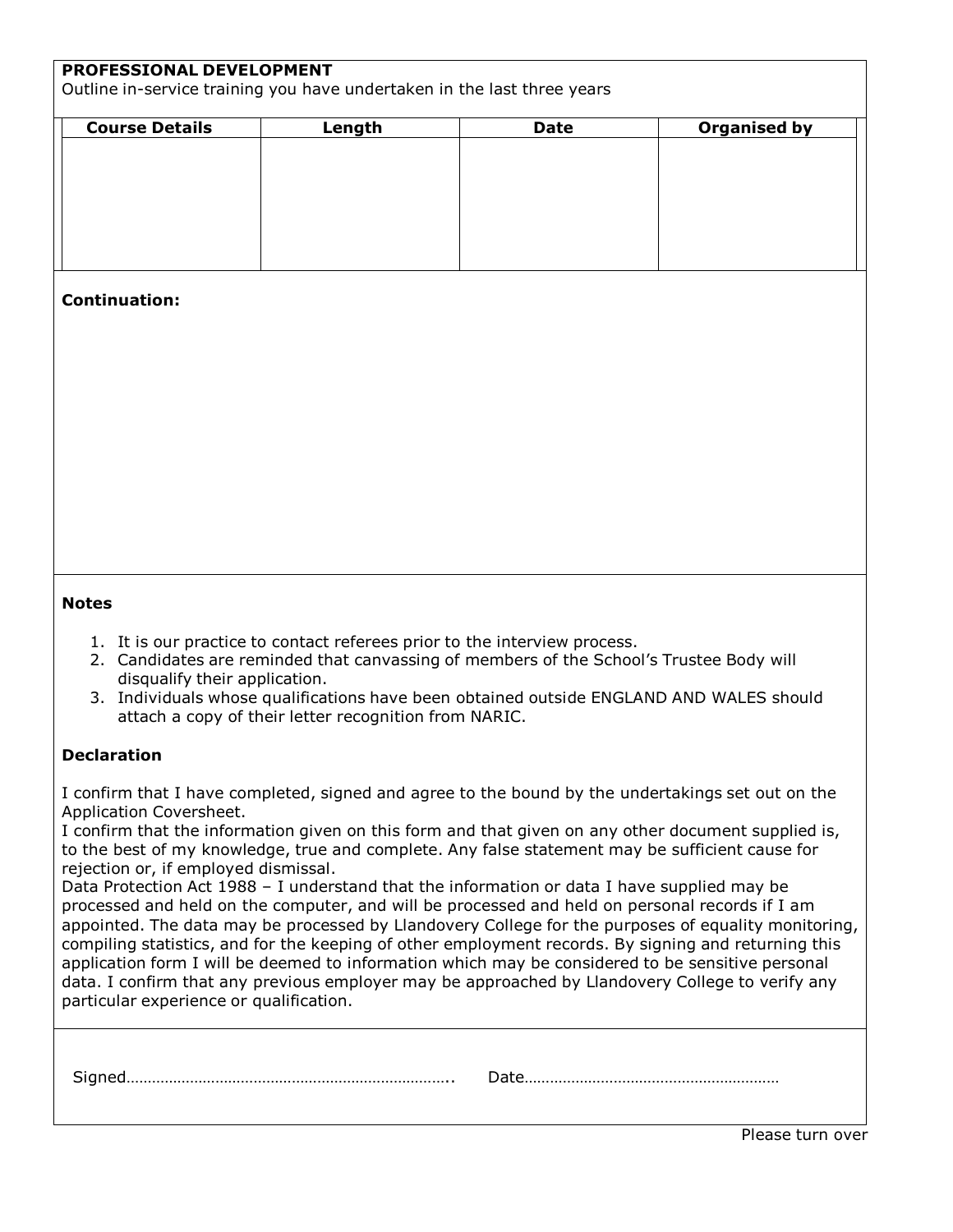# **PROFESSIONAL DEVELOPMENT**

Outline in-service training you have undertaken in the last three years

| <b>Course Details</b> | Length | <b>Date</b> | <b>Organised by</b> |
|-----------------------|--------|-------------|---------------------|
|                       |        |             |                     |
|                       |        |             |                     |
|                       |        |             |                     |
|                       |        |             |                     |
|                       |        |             |                     |
|                       |        |             |                     |
|                       |        |             |                     |

# **Continuation:**

# **Notes**

- 1. It is our practice to contact referees prior to the interview process.
- 2. Candidates are reminded that canvassing of members of the School's Trustee Body will disqualify their application.
- 3. Individuals whose qualifications have been obtained outside ENGLAND AND WALES should attach a copy of their letter recognition from NARIC.

# **Declaration**

I confirm that I have completed, signed and agree to the bound by the undertakings set out on the Application Coversheet.

I confirm that the information given on this form and that given on any other document supplied is, to the best of my knowledge, true and complete. Any false statement may be sufficient cause for rejection or, if employed dismissal.

Data Protection Act 1988 – I understand that the information or data I have supplied may be processed and held on the computer, and will be processed and held on personal records if I am appointed. The data may be processed by Llandovery College for the purposes of equality monitoring, compiling statistics, and for the keeping of other employment records. By signing and returning this application form I will be deemed to information which may be considered to be sensitive personal data. I confirm that any previous employer may be approached by Llandovery College to verify any particular experience or qualification.

| -- |  |
|----|--|
|----|--|

Please turn over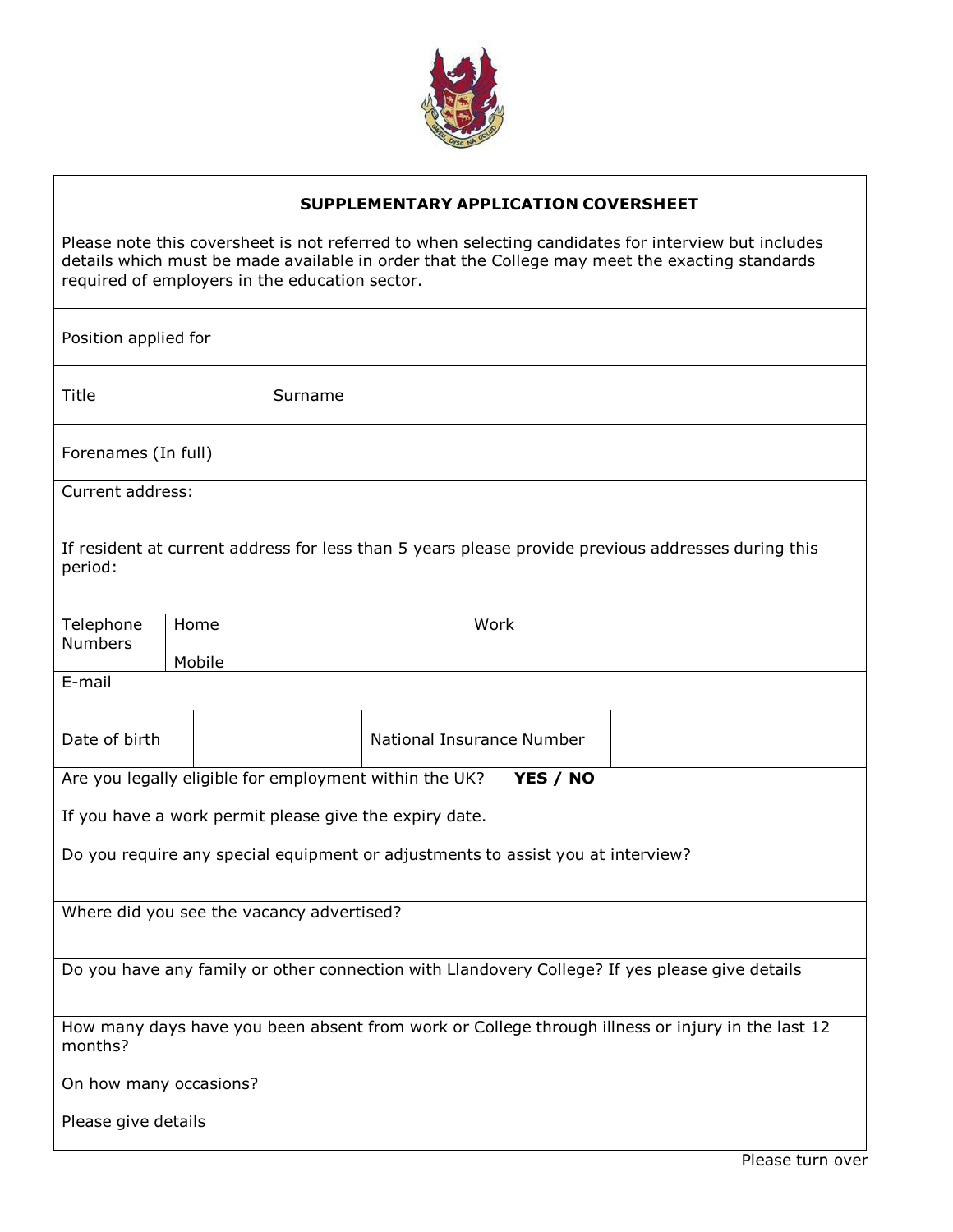

# **SUPPLEMENTARY APPLICATION COVERSHEET**

Please note this coversheet is not referred to when selecting candidates for interview but includes details which must be made available in order that the College may meet the exacting standards required of employers in the education sector.

| Position applied for                                                                                        |                                                                                                    |                                                        |                           |  |  |  |
|-------------------------------------------------------------------------------------------------------------|----------------------------------------------------------------------------------------------------|--------------------------------------------------------|---------------------------|--|--|--|
| Title                                                                                                       |                                                                                                    | Surname                                                |                           |  |  |  |
| Forenames (In full)                                                                                         |                                                                                                    |                                                        |                           |  |  |  |
| Current address:                                                                                            |                                                                                                    |                                                        |                           |  |  |  |
| period:                                                                                                     | If resident at current address for less than 5 years please provide previous addresses during this |                                                        |                           |  |  |  |
| Telephone                                                                                                   | Home                                                                                               |                                                        | Work                      |  |  |  |
| <b>Numbers</b>                                                                                              | Mobile                                                                                             |                                                        |                           |  |  |  |
| E-mail                                                                                                      |                                                                                                    |                                                        |                           |  |  |  |
| Date of birth                                                                                               |                                                                                                    |                                                        | National Insurance Number |  |  |  |
|                                                                                                             |                                                                                                    | Are you legally eligible for employment within the UK? | YES / NO                  |  |  |  |
| If you have a work permit please give the expiry date.                                                      |                                                                                                    |                                                        |                           |  |  |  |
| Do you require any special equipment or adjustments to assist you at interview?                             |                                                                                                    |                                                        |                           |  |  |  |
|                                                                                                             |                                                                                                    |                                                        |                           |  |  |  |
| Where did you see the vacancy advertised?                                                                   |                                                                                                    |                                                        |                           |  |  |  |
|                                                                                                             |                                                                                                    |                                                        |                           |  |  |  |
| Do you have any family or other connection with Llandovery College? If yes please give details              |                                                                                                    |                                                        |                           |  |  |  |
| How many days have you been absent from work or College through illness or injury in the last 12<br>months? |                                                                                                    |                                                        |                           |  |  |  |
| On how many occasions?                                                                                      |                                                                                                    |                                                        |                           |  |  |  |
| Please give details                                                                                         |                                                                                                    |                                                        |                           |  |  |  |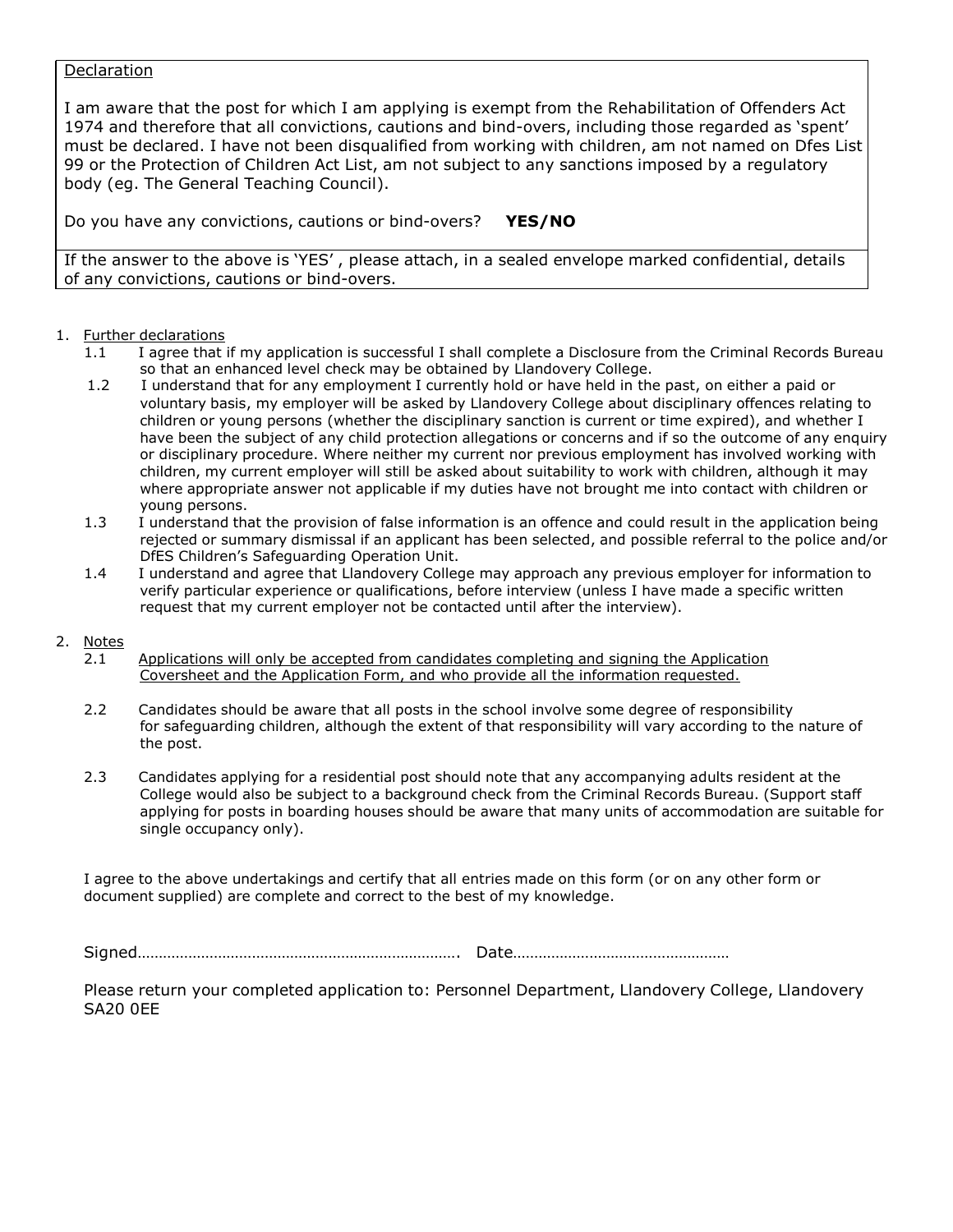# **Declaration**

I am aware that the post for which I am applying is exempt from the Rehabilitation of Offenders Act 1974 and therefore that all convictions, cautions and bind-overs, including those regarded as 'spent' must be declared. I have not been disqualified from working with children, am not named on Dfes List 99 or the Protection of Children Act List, am not subject to any sanctions imposed by a regulatory body (eg. The General Teaching Council).

Do you have any convictions, cautions or bind-overs? **YES/NO**

If the answer to the above is 'YES' , please attach, in a sealed envelope marked confidential, details of any convictions, cautions or bind-overs.

# 1. Further declarations

- 1.1 I agree that if my application is successful I shall complete a Disclosure from the Criminal Records Bureau so that an enhanced level check may be obtained by Llandovery College.
- 1.2 I understand that for any employment I currently hold or have held in the past, on either a paid or voluntary basis, my employer will be asked by Llandovery College about disciplinary offences relating to children or young persons (whether the disciplinary sanction is current or time expired), and whether I have been the subject of any child protection allegations or concerns and if so the outcome of any enquiry or disciplinary procedure. Where neither my current nor previous employment has involved working with children, my current employer will still be asked about suitability to work with children, although it may where appropriate answer not applicable if my duties have not brought me into contact with children or young persons.
- 1.3 I understand that the provision of false information is an offence and could result in the application being rejected or summary dismissal if an applicant has been selected, and possible referral to the police and/or DfES Children's Safeguarding Operation Unit.
- 1.4 I understand and agree that Llandovery College may approach any previous employer for information to verify particular experience or qualifications, before interview (unless I have made a specific written request that my current employer not be contacted until after the interview).

# 2. Notes

- 2.1 Applications will only be accepted from candidates completing and signing the Application Coversheet and the Application Form, and who provide all the information requested.
- 2.2 Candidates should be aware that all posts in the school involve some degree of responsibility for safeguarding children, although the extent of that responsibility will vary according to the nature of the post.
- 2.3 Candidates applying for a residential post should note that any accompanying adults resident at the College would also be subject to a background check from the Criminal Records Bureau. (Support staff applying for posts in boarding houses should be aware that many units of accommodation are suitable for single occupancy only).

I agree to the above undertakings and certify that all entries made on this form (or on any other form or document supplied) are complete and correct to the best of my knowledge.

Signed…………………………………………………………………. Date……………………………………………

Please return your completed application to: Personnel Department, Llandovery College, Llandovery SA20 0EE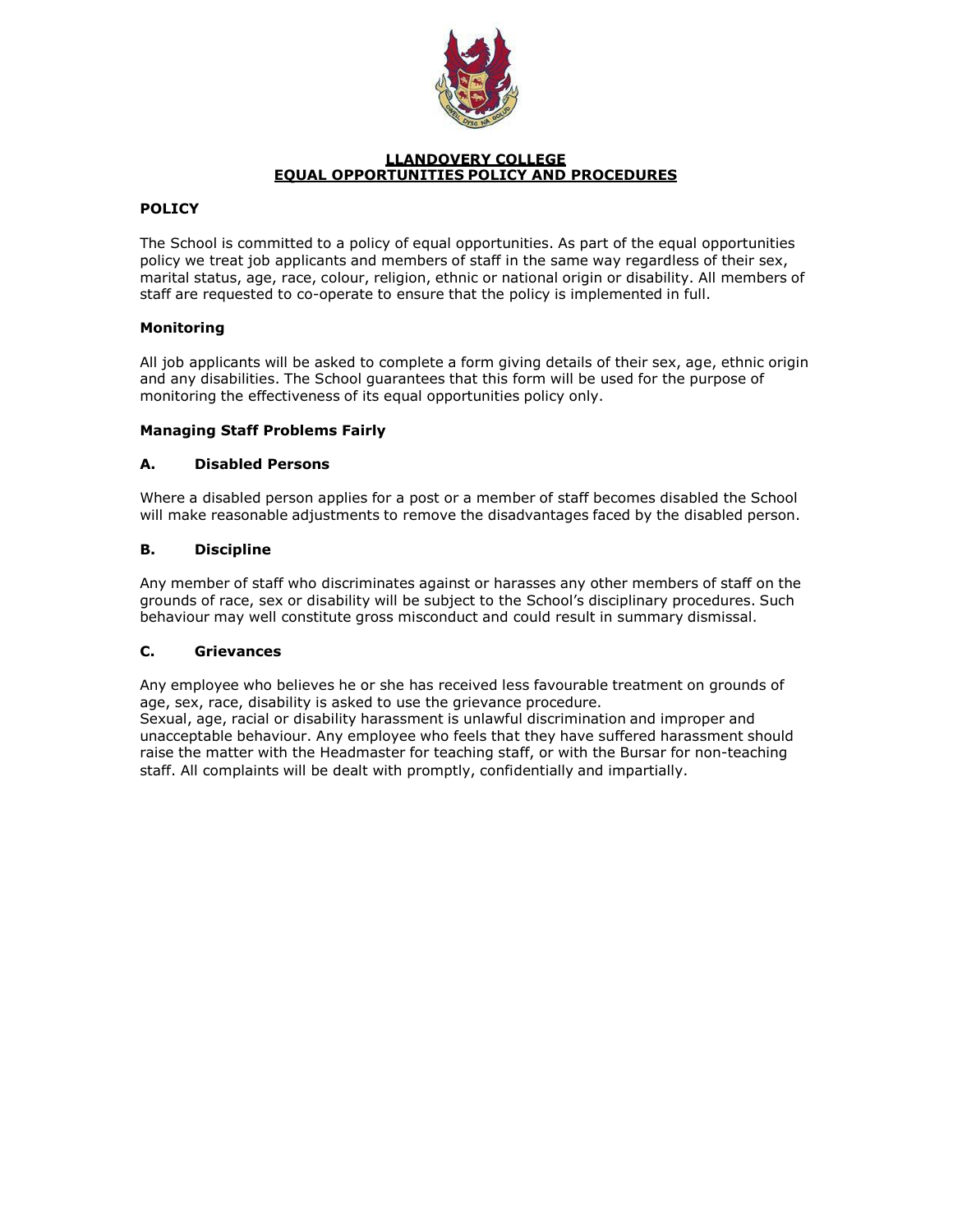

### **LLANDOVERY COLLEGE EQUAL OPPORTUNITIES POLICY AND PROCEDURES**

# **POLICY**

The School is committed to a policy of equal opportunities. As part of the equal opportunities policy we treat job applicants and members of staff in the same way regardless of their sex, marital status, age, race, colour, religion, ethnic or national origin or disability. All members of staff are requested to co-operate to ensure that the policy is implemented in full.

# **Monitoring**

All job applicants will be asked to complete a form giving details of their sex, age, ethnic origin and any disabilities. The School guarantees that this form will be used for the purpose of monitoring the effectiveness of its equal opportunities policy only.

# **Managing Staff Problems Fairly**

# **A. Disabled Persons**

Where a disabled person applies for a post or a member of staff becomes disabled the School will make reasonable adjustments to remove the disadvantages faced by the disabled person.

# **B. Discipline**

Any member of staff who discriminates against or harasses any other members of staff on the grounds of race, sex or disability will be subject to the School's disciplinary procedures. Such behaviour may well constitute gross misconduct and could result in summary dismissal.

# **C. Grievances**

Any employee who believes he or she has received less favourable treatment on grounds of age, sex, race, disability is asked to use the grievance procedure.

Sexual, age, racial or disability harassment is unlawful discrimination and improper and unacceptable behaviour. Any employee who feels that they have suffered harassment should raise the matter with the Headmaster for teaching staff, or with the Bursar for non-teaching staff. All complaints will be dealt with promptly, confidentially and impartially.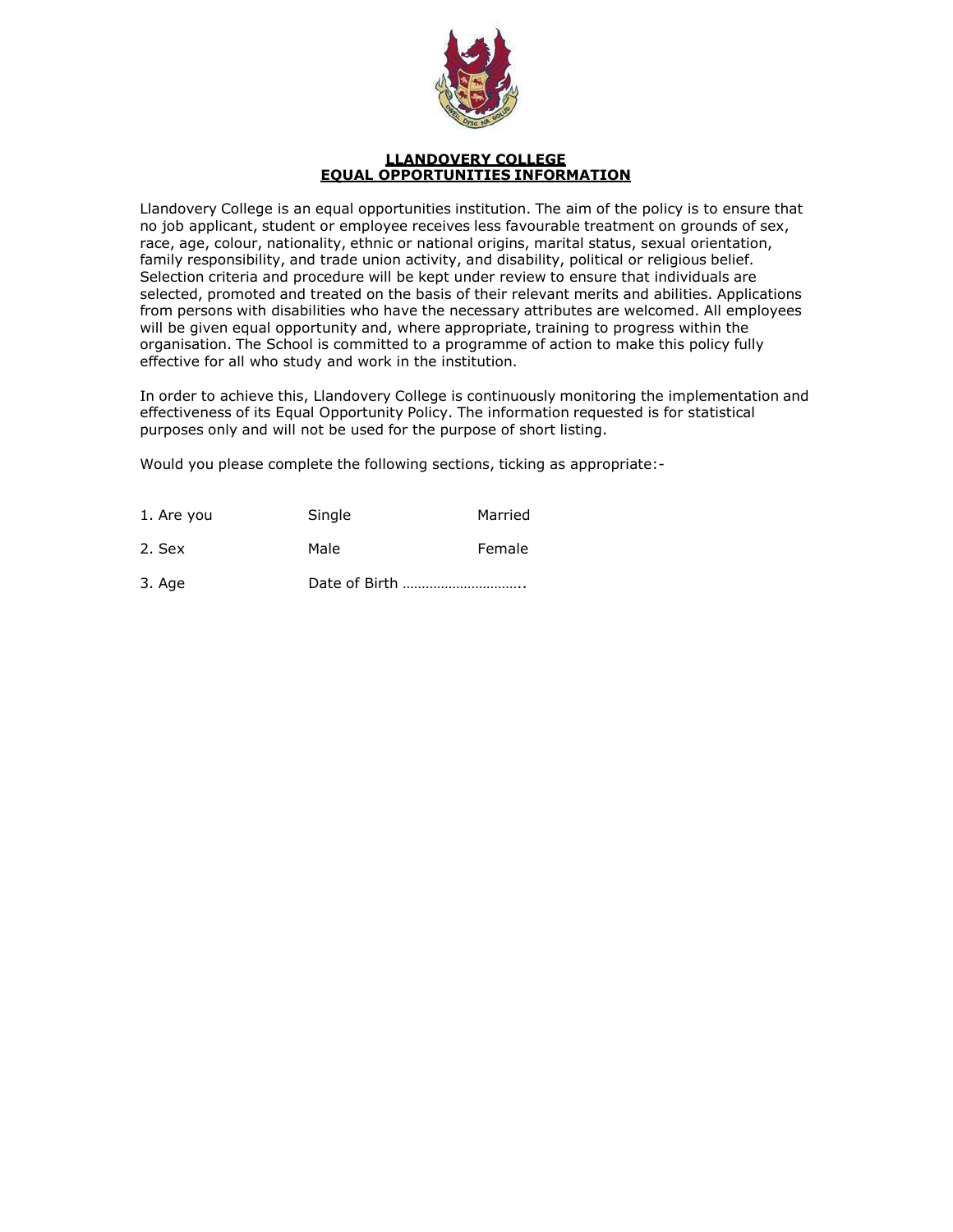

#### **LLANDOVERY COLLEGE EQUAL OPPORTUNITIES INFORMATION**

Llandovery College is an equal opportunities institution. The aim of the policy is to ensure that no iob applicant, student or employee receives less favourable treatment on grounds of sex, race, age, colour, nationality, ethnic or national origins, marital status, sexual orientation, family responsibility, and trade union activity, and disability, political or religious belief. Selection criteria and procedure will be kept under review to ensure that individuals are selected, promoted and treated on the basis of their relevant merits and abilities. Applications from persons with disabilities who have the necessary attributes are welcomed. All employees will be given equal opportunity and, where appropriate, training to progress within the organisation. The School is committed to a programme of action to make this policy fully effective for all who study and work in the institution.

In order to achieve this, Llandovery College is continuously monitoring the implementation and effectiveness of its Equal Opportunity Policy. The information requested is for statistical purposes only and will not be used for the purpose of short listing.

Would you please complete the following sections, ticking as appropriate:-

| 1. Are you | Single        | Married |
|------------|---------------|---------|
| 2. Sex     | Male          | Female  |
| 3. Age     | Date of Birth |         |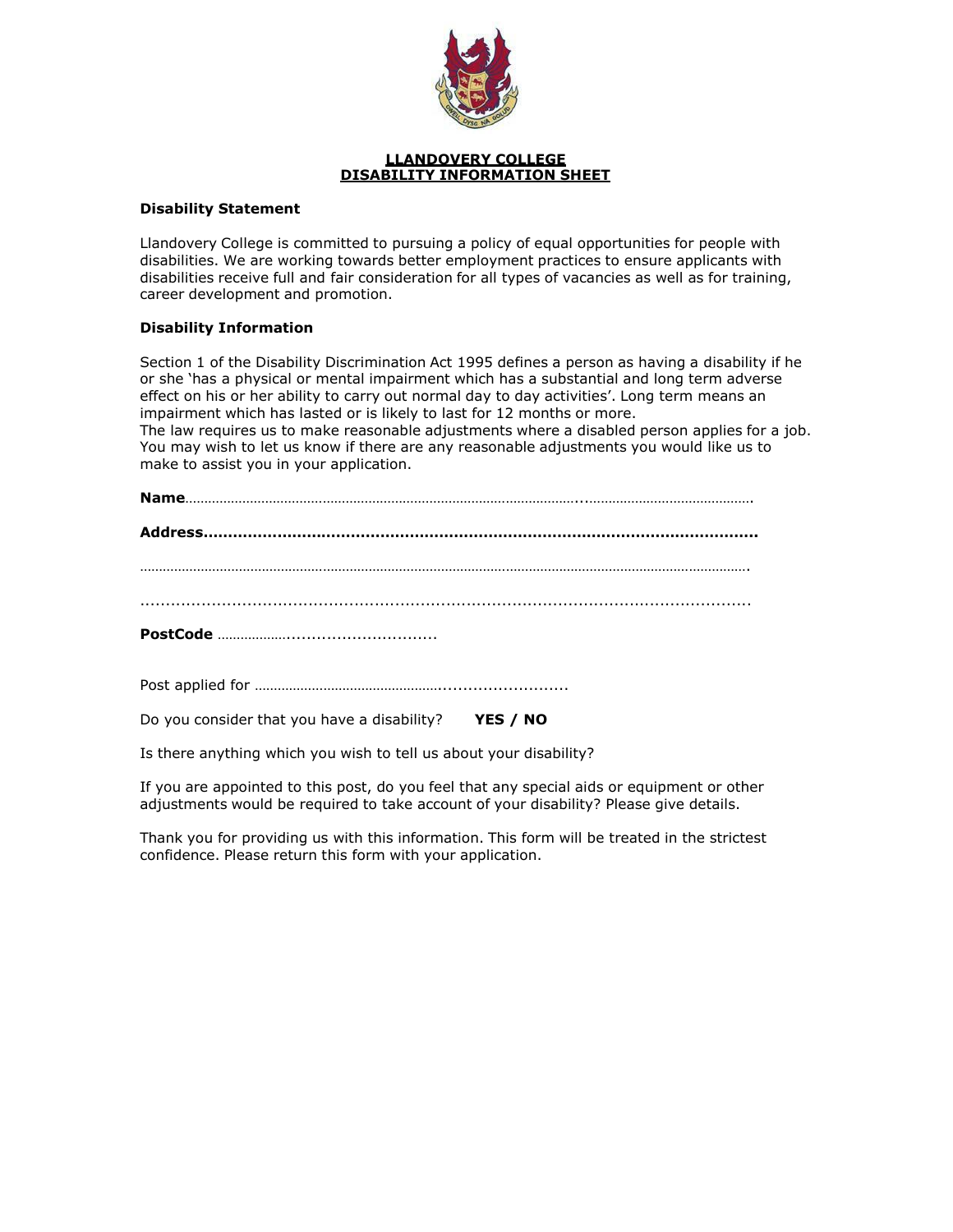

#### **LLANDOVERY COLLEGE DISABILITY INFORMATION SHEET**

# **Disability Statement**

Llandovery College is committed to pursuing a policy of equal opportunities for people with disabilities. We are working towards better employment practices to ensure applicants with disabilities receive full and fair consideration for all types of vacancies as well as for training, career development and promotion.

# **Disability Information**

Section 1 of the Disability Discrimination Act 1995 defines a person as having a disability if he or she 'has a physical or mental impairment which has a substantial and long term adverse effect on his or her ability to carry out normal day to day activities'. Long term means an impairment which has lasted or is likely to last for 12 months or more. The law requires us to make reasonable adjustments where a disabled person applies for a job. You may wish to let us know if there are any reasonable adjustments you would like us to make to assist you in your application.

**Name**…………………………………………………………………………………………...…………………………………….

Post applied for …………………………………………..........................

Do you consider that you have a disability? **YES / NO**

Is there anything which you wish to tell us about your disability?

If you are appointed to this post, do you feel that any special aids or equipment or other adjustments would be required to take account of your disability? Please give details.

Thank you for providing us with this information. This form will be treated in the strictest confidence. Please return this form with your application.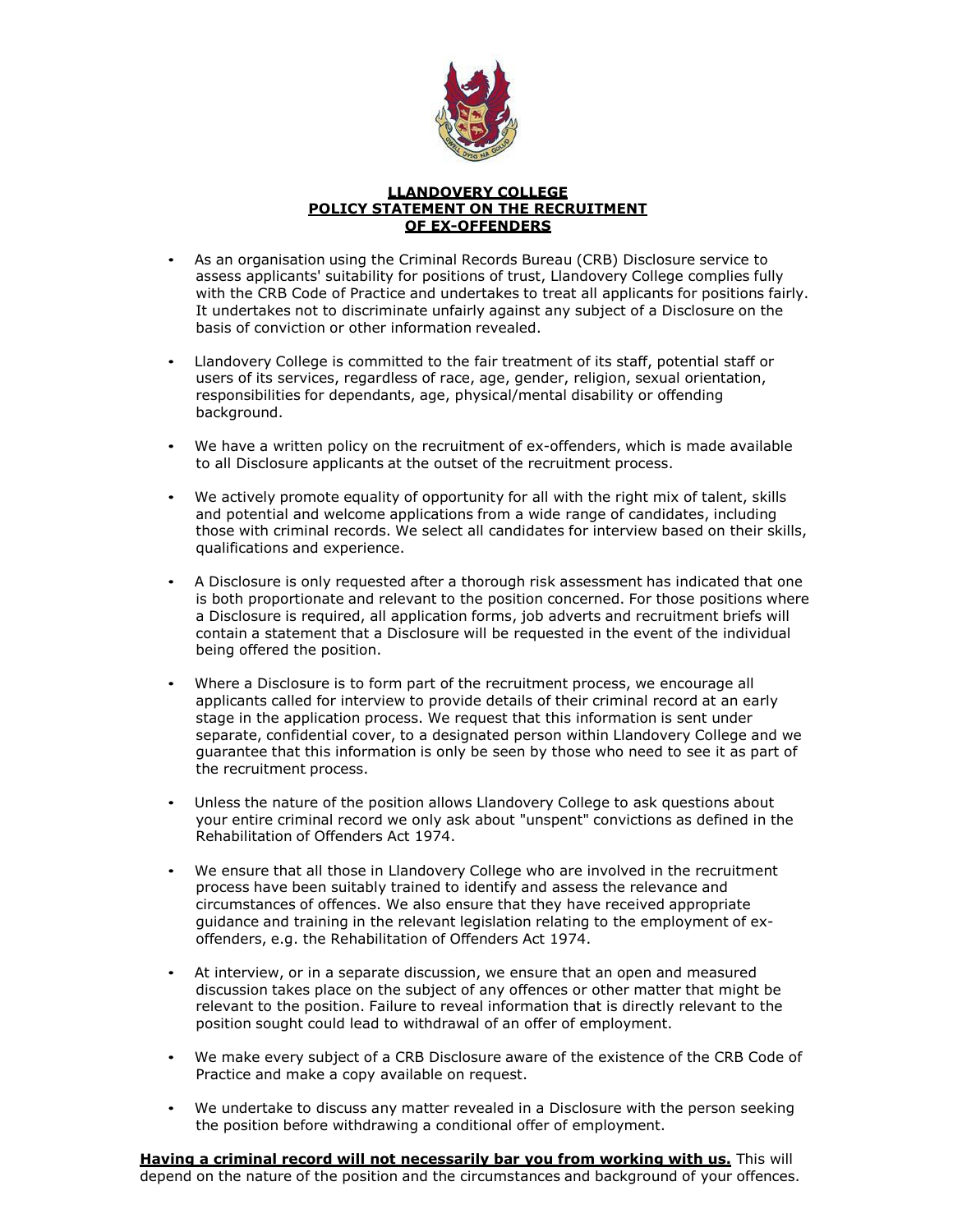

#### **LLANDOVERY COLLEGE POLICY STATEMENT ON THE RECRUITMENT OF EX-OFFENDERS**

- As an organisation using the Criminal Records Bureau (CRB) Disclosure service to assess applicants' suitability for positions of trust, Llandovery College complies fully with the CRB Code of Practice and undertakes to treat all applicants for positions fairly. It undertakes not to discriminate unfairly against any subject of a Disclosure on the basis of conviction or other information revealed.
- Llandovery College is committed to the fair treatment of its staff, potential staff or users of its services, regardless of race, age, gender, religion, sexual orientation, responsibilities for dependants, age, physical/mental disability or offending background.
- We have a written policy on the recruitment of ex-offenders, which is made available to all Disclosure applicants at the outset of the recruitment process.
- We actively promote equality of opportunity for all with the right mix of talent, skills and potential and welcome applications from a wide range of candidates, including those with criminal records. We select all candidates for interview based on their skills, qualifications and experience.
- A Disclosure is only requested after a thorough risk assessment has indicated that one is both proportionate and relevant to the position concerned. For those positions where a Disclosure is required, all application forms, job adverts and recruitment briefs will contain a statement that a Disclosure will be requested in the event of the individual being offered the position.
- Where a Disclosure is to form part of the recruitment process, we encourage all applicants called for interview to provide details of their criminal record at an early stage in the application process. We request that this information is sent under separate, confidential cover, to a designated person within Llandovery College and we guarantee that this information is only be seen by those who need to see it as part of the recruitment process.
- Unless the nature of the position allows Llandovery College to ask questions about your entire criminal record we only ask about "unspent" convictions as defined in the Rehabilitation of Offenders Act 1974.
- We ensure that all those in Llandovery College who are involved in the recruitment process have been suitably trained to identify and assess the relevance and circumstances of offences. We also ensure that they have received appropriate guidance and training in the relevant legislation relating to the employment of exoffenders, e.g. the Rehabilitation of Offenders Act 1974.
- At interview, or in a separate discussion, we ensure that an open and measured discussion takes place on the subject of any offences or other matter that might be relevant to the position. Failure to reveal information that is directly relevant to the position sought could lead to withdrawal of an offer of employment.
- We make every subject of a CRB Disclosure aware of the existence of the CRB Code of Practice and make a copy available on request.
- We undertake to discuss any matter revealed in a Disclosure with the person seeking the position before withdrawing a conditional offer of employment.

**Having a criminal record will not necessarily bar you from working with us.** This will depend on the nature of the position and the circumstances and background of your offences.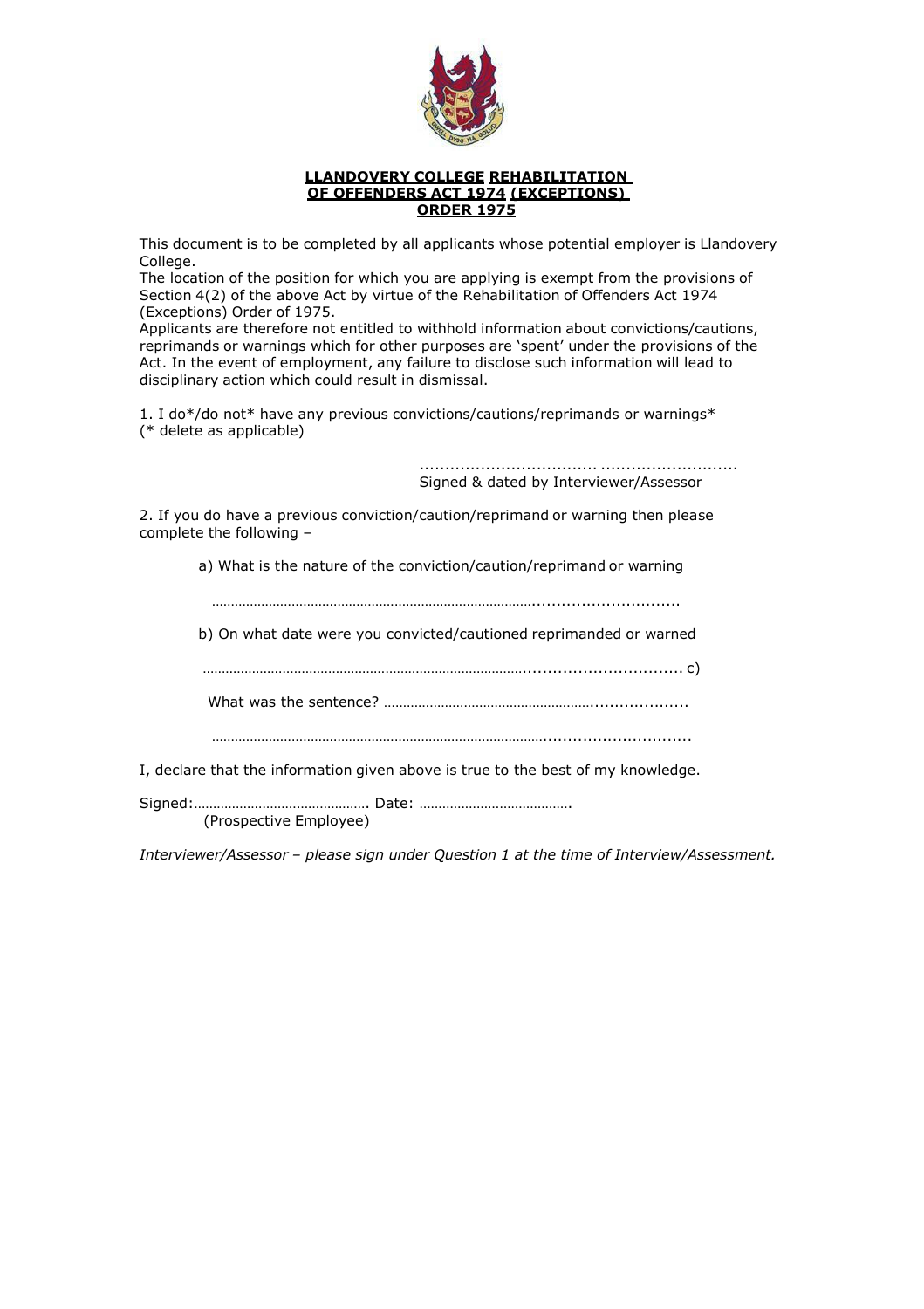

#### **LLANDOVERY COLLEGE REHABILITATION OF OFFENDERS ACT 1974 (EXCEPTIONS) ORDER 1975**

This document is to be completed by all applicants whose potential employer is Llandovery College.

The location of the position for which you are applying is exempt from the provisions of Section 4(2) of the above Act by virtue of the Rehabilitation of Offenders Act 1974 (Exceptions) Order of 1975.

Applicants are therefore not entitled to withhold information about convictions/cautions, reprimands or warnings which for other purposes are 'spent' under the provisions of the Act. In the event of employment, any failure to disclose such information will lead to disciplinary action which could result in dismissal.

1. I do\*/do not\* have any previous convictions/cautions/reprimands or warnings\* (\* delete as applicable)

> ................................... ........................... Signed & dated by Interviewer/Assessor

2. If you do have a previous conviction/caution/reprimand or warning then please complete the following –

a) What is the nature of the conviction/caution/reprimand or warning

…………………………………………………………………………..............................

b) On what date were you convicted/cautioned reprimanded or warned

…………………………………………………………………………................................ c)

What was the sentence? ………………………………………………....................

……………………………………………………………………………..............................

I, declare that the information given above is true to the best of my knowledge.

Signed:………………………………………. Date: …………………………………. (Prospective Employee)

*Interviewer/Assessor – please sign under Question 1 at the time of Interview/Assessment.*